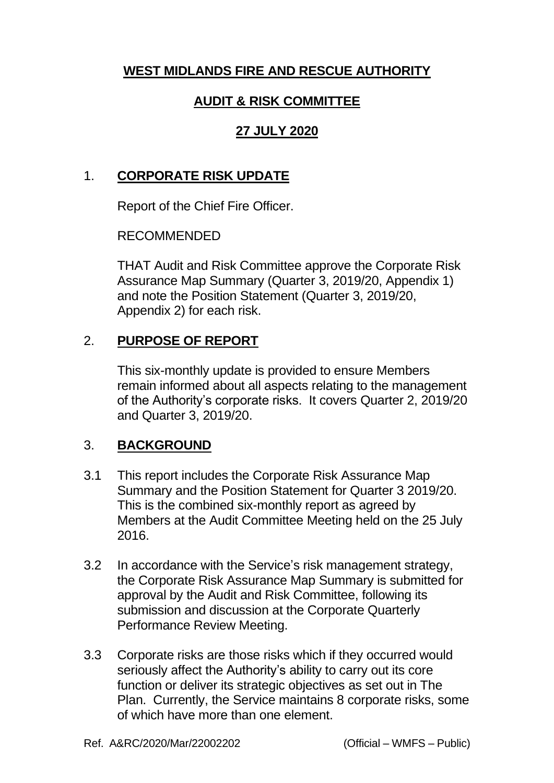# **WEST MIDLANDS FIRE AND RESCUE AUTHORITY**

# **AUDIT & RISK COMMITTEE**

## **27 JULY 2020**

#### 1. **CORPORATE RISK UPDATE**

Report of the Chief Fire Officer.

#### RECOMMENDED

THAT Audit and Risk Committee approve the Corporate Risk Assurance Map Summary (Quarter 3, 2019/20, Appendix 1) and note the Position Statement (Quarter 3, 2019/20, Appendix 2) for each risk.

## 2. **PURPOSE OF REPORT**

This six-monthly update is provided to ensure Members remain informed about all aspects relating to the management of the Authority's corporate risks. It covers Quarter 2, 2019/20 and Quarter 3, 2019/20.

#### 3. **BACKGROUND**

- 3.1 This report includes the Corporate Risk Assurance Map Summary and the Position Statement for Quarter 3 2019/20. This is the combined six-monthly report as agreed by Members at the Audit Committee Meeting held on the 25 July 2016.
- 3.2 In accordance with the Service's risk management strategy, the Corporate Risk Assurance Map Summary is submitted for approval by the Audit and Risk Committee, following its submission and discussion at the Corporate Quarterly Performance Review Meeting.
- 3.3 Corporate risks are those risks which if they occurred would seriously affect the Authority's ability to carry out its core function or deliver its strategic objectives as set out in The Plan. Currently, the Service maintains 8 corporate risks, some of which have more than one element.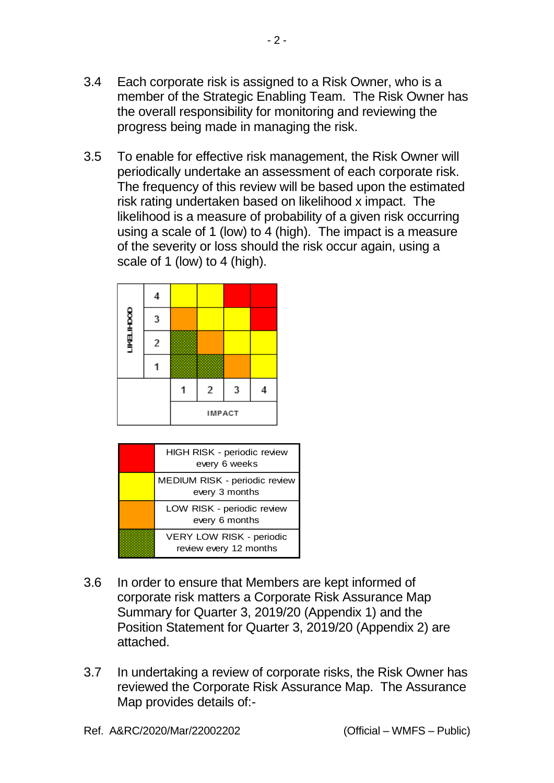3.4 Each corporate risk is assigned to a Risk Owner, who is a member of the Strategic Enabling Team. The Risk Owner has the overall responsibility for monitoring and reviewing the progress being made in managing the risk.

 $-2 -$ 

3.5 To enable for effective risk management, the Risk Owner will periodically undertake an assessment of each corporate risk. The frequency of this review will be based upon the estimated risk rating undertaken based on likelihood x impact. The likelihood is a measure of probability of a given risk occurring using a scale of 1 (low) to 4 (high). The impact is a measure of the severity or loss should the risk occur again, using a scale of 1 (low) to 4 (high).





- 3.6 In order to ensure that Members are kept informed of corporate risk matters a Corporate Risk Assurance Map Summary for Quarter 3, 2019/20 (Appendix 1) and the Position Statement for Quarter 3, 2019/20 (Appendix 2) are attached.
- 3.7 In undertaking a review of corporate risks, the Risk Owner has reviewed the Corporate Risk Assurance Map. The Assurance Map provides details of:-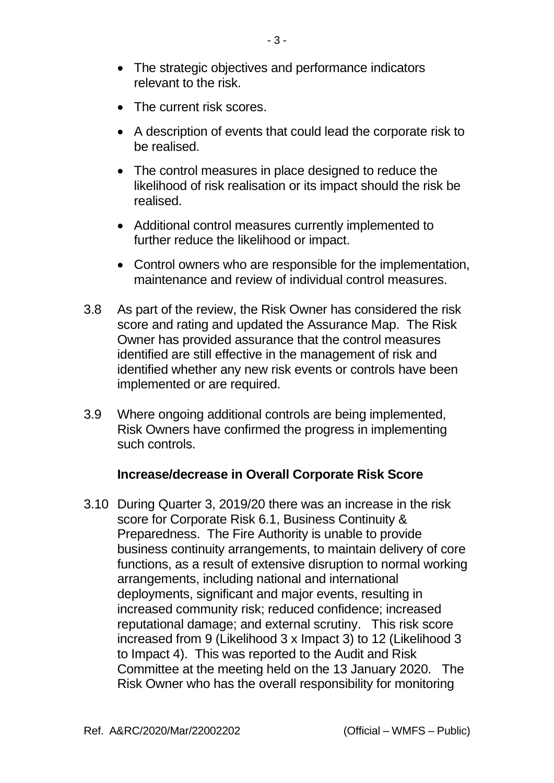- The strategic objectives and performance indicators relevant to the risk.
- The current risk scores.
- A description of events that could lead the corporate risk to be realised.
- The control measures in place designed to reduce the likelihood of risk realisation or its impact should the risk be realised.
- Additional control measures currently implemented to further reduce the likelihood or impact.
- Control owners who are responsible for the implementation, maintenance and review of individual control measures.
- 3.8 As part of the review, the Risk Owner has considered the risk score and rating and updated the Assurance Map. The Risk Owner has provided assurance that the control measures identified are still effective in the management of risk and identified whether any new risk events or controls have been implemented or are required.
- 3.9 Where ongoing additional controls are being implemented, Risk Owners have confirmed the progress in implementing such controls.

#### **Increase/decrease in Overall Corporate Risk Score**

3.10 During Quarter 3, 2019/20 there was an increase in the risk score for Corporate Risk 6.1, Business Continuity & Preparedness. The Fire Authority is unable to provide business continuity arrangements, to maintain delivery of core functions, as a result of extensive disruption to normal working arrangements, including national and international deployments, significant and major events, resulting in increased community risk; reduced confidence; increased reputational damage; and external scrutiny. This risk score increased from 9 (Likelihood 3 x Impact 3) to 12 (Likelihood 3 to Impact 4). This was reported to the Audit and Risk Committee at the meeting held on the 13 January 2020. The Risk Owner who has the overall responsibility for monitoring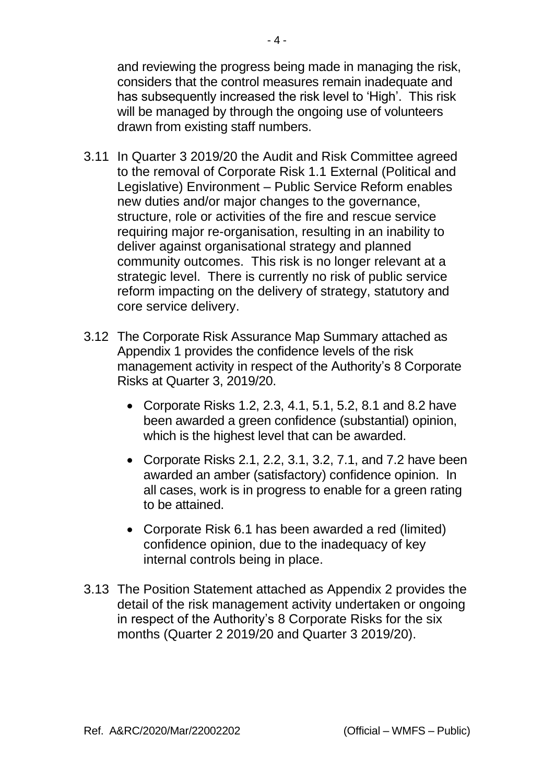and reviewing the progress being made in managing the risk, considers that the control measures remain inadequate and has subsequently increased the risk level to 'High'. This risk will be managed by through the ongoing use of volunteers drawn from existing staff numbers.

- 3.11 In Quarter 3 2019/20 the Audit and Risk Committee agreed to the removal of Corporate Risk 1.1 External (Political and Legislative) Environment – Public Service Reform enables new duties and/or major changes to the governance, structure, role or activities of the fire and rescue service requiring major re-organisation, resulting in an inability to deliver against organisational strategy and planned community outcomes. This risk is no longer relevant at a strategic level. There is currently no risk of public service reform impacting on the delivery of strategy, statutory and core service delivery.
- 3.12 The Corporate Risk Assurance Map Summary attached as Appendix 1 provides the confidence levels of the risk management activity in respect of the Authority's 8 Corporate Risks at Quarter 3, 2019/20.
	- Corporate Risks 1.2, 2.3, 4.1, 5.1, 5.2, 8.1 and 8.2 have been awarded a green confidence (substantial) opinion, which is the highest level that can be awarded.
	- Corporate Risks 2.1, 2.2, 3.1, 3.2, 7.1, and 7.2 have been awarded an amber (satisfactory) confidence opinion. In all cases, work is in progress to enable for a green rating to be attained.
	- Corporate Risk 6.1 has been awarded a red (limited) confidence opinion, due to the inadequacy of key internal controls being in place.
- 3.13 The Position Statement attached as Appendix 2 provides the detail of the risk management activity undertaken or ongoing in respect of the Authority's 8 Corporate Risks for the six months (Quarter 2 2019/20 and Quarter 3 2019/20).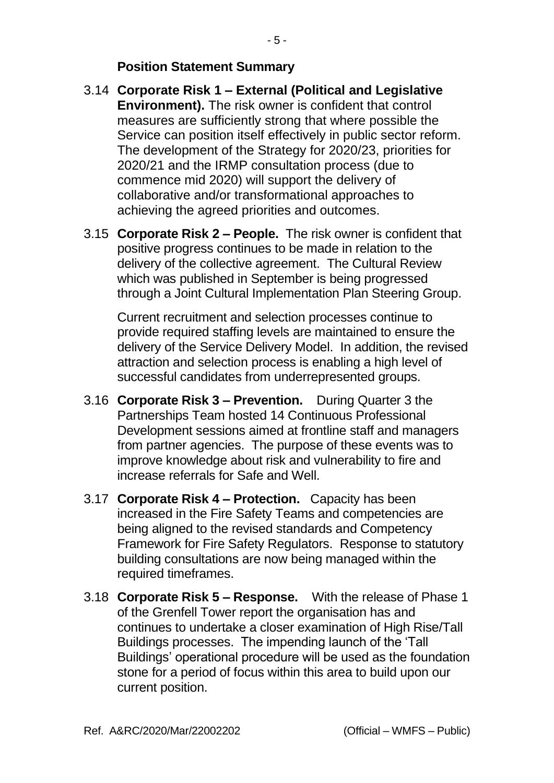#### **Position Statement Summary**

- 3.14 **Corporate Risk 1 – External (Political and Legislative Environment).** The risk owner is confident that control measures are sufficiently strong that where possible the Service can position itself effectively in public sector reform. The development of the Strategy for 2020/23, priorities for 2020/21 and the IRMP consultation process (due to commence mid 2020) will support the delivery of collaborative and/or transformational approaches to achieving the agreed priorities and outcomes.
- 3.15 **Corporate Risk 2 – People.** The risk owner is confident that positive progress continues to be made in relation to the delivery of the collective agreement. The Cultural Review which was published in September is being progressed through a Joint Cultural Implementation Plan Steering Group.

Current recruitment and selection processes continue to provide required staffing levels are maintained to ensure the delivery of the Service Delivery Model. In addition, the revised attraction and selection process is enabling a high level of successful candidates from underrepresented groups.

- 3.16 **Corporate Risk 3 – Prevention.** During Quarter 3 the Partnerships Team hosted 14 Continuous Professional Development sessions aimed at frontline staff and managers from partner agencies. The purpose of these events was to improve knowledge about risk and vulnerability to fire and increase referrals for Safe and Well.
- 3.17 **Corporate Risk 4 – Protection.** Capacity has been increased in the Fire Safety Teams and competencies are being aligned to the revised standards and Competency Framework for Fire Safety Regulators. Response to statutory building consultations are now being managed within the required timeframes.
- 3.18 **Corporate Risk 5 – Response.** With the release of Phase 1 of the Grenfell Tower report the organisation has and continues to undertake a closer examination of High Rise/Tall Buildings processes. The impending launch of the 'Tall Buildings' operational procedure will be used as the foundation stone for a period of focus within this area to build upon our current position.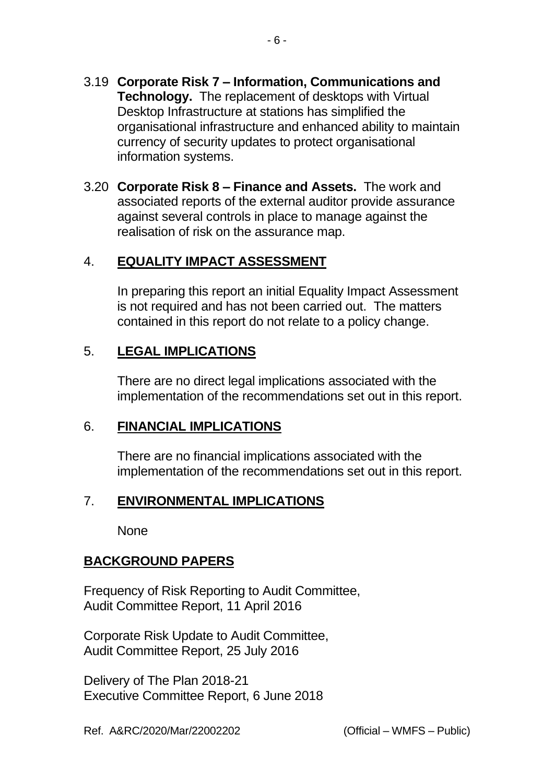- 3.19 **Corporate Risk 7 – Information, Communications and Technology.** The replacement of desktops with Virtual Desktop Infrastructure at stations has simplified the organisational infrastructure and enhanced ability to maintain currency of security updates to protect organisational information systems.
- 3.20 **Corporate Risk 8 – Finance and Assets.** The work and associated reports of the external auditor provide assurance against several controls in place to manage against the realisation of risk on the assurance map.

#### 4. **EQUALITY IMPACT ASSESSMENT**

In preparing this report an initial Equality Impact Assessment is not required and has not been carried out. The matters contained in this report do not relate to a policy change.

## 5. **LEGAL IMPLICATIONS**

There are no direct legal implications associated with the implementation of the recommendations set out in this report.

#### 6. **FINANCIAL IMPLICATIONS**

There are no financial implications associated with the implementation of the recommendations set out in this report.

#### 7. **ENVIRONMENTAL IMPLICATIONS**

None

# **BACKGROUND PAPERS**

Frequency of Risk Reporting to Audit Committee, Audit Committee Report, 11 April 2016

Corporate Risk Update to Audit Committee, Audit Committee Report, 25 July 2016

Delivery of The Plan 2018-21 Executive Committee Report, 6 June 2018

Ref. A&RC/2020/Mar/22002202 (Official – WMFS – Public)